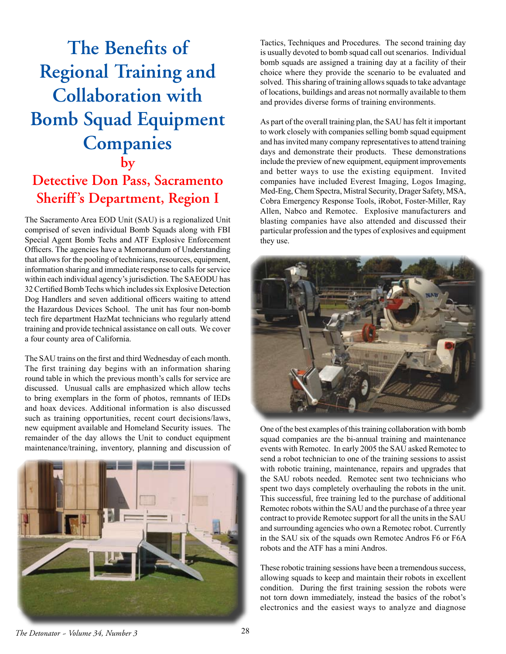## **The Benefits of Regional Training and Collaboration with Bomb Squad Equipment Companies by Detective Don Pass, Sacramento**

## **Sheriff's Department, Region I**

The Sacramento Area EOD Unit (SAU) is a regionalized Unit comprised of seven individual Bomb Squads along with FBI Special Agent Bomb Techs and ATF Explosive Enforcement Officers. The agencies have a Memorandum of Understanding that allows for the pooling of technicians, resources, equipment, information sharing and immediate response to calls for service within each individual agency's jurisdiction. The SAEODU has 32 Certified Bomb Techs which includes six Explosive Detection Dog Handlers and seven additional officers waiting to attend the Hazardous Devices School. The unit has four non-bomb tech fire department HazMat technicians who regularly attend training and provide technical assistance on call outs. We cover a four county area of California.

The SAU trains on the first and third Wednesday of each month. The first training day begins with an information sharing round table in which the previous month's calls for service are discussed. Unusual calls are emphasized which allow techs to bring exemplars in the form of photos, remnants of IEDs and hoax devices. Additional information is also discussed such as training opportunities, recent court decisions/laws, new equipment available and Homeland Security issues. The remainder of the day allows the Unit to conduct equipment maintenance/training, inventory, planning and discussion of



Tactics, Techniques and Procedures. The second training day is usually devoted to bomb squad call out scenarios. Individual bomb squads are assigned a training day at a facility of their choice where they provide the scenario to be evaluated and solved. This sharing of training allows squads to take advantage of locations, buildings and areas not normally available to them and provides diverse forms of training environments.

As part of the overall training plan, the SAU has felt it important to work closely with companies selling bomb squad equipment and has invited many company representatives to attend training days and demonstrate their products. These demonstrations include the preview of new equipment, equipment improvements and better ways to use the existing equipment. Invited companies have included Everest Imaging, Logos Imaging, Med-Eng, Chem Spectra, Mistral Security, Drager Safety, MSA, Cobra Emergency Response Tools, iRobot, Foster-Miller, Ray Allen, Nabco and Remotec. Explosive manufacturers and blasting companies have also attended and discussed their particular profession and the types of explosives and equipment they use.



One of the best examples of this training collaboration with bomb squad companies are the bi-annual training and maintenance events with Remotec. In early 2005 the SAU asked Remotec to send a robot technician to one of the training sessions to assist with robotic training, maintenance, repairs and upgrades that the SAU robots needed. Remotec sent two technicians who spent two days completely overhauling the robots in the unit. This successful, free training led to the purchase of additional Remotec robots within the SAU and the purchase of a three year contract to provide Remotec support for all the units in the SAU and surrounding agencies who own a Remotec robot. Currently in the SAU six of the squads own Remotec Andros F6 or F6A robots and the ATF has a mini Andros.

These robotic training sessions have been a tremendous success, allowing squads to keep and maintain their robots in excellent condition. During the first training session the robots were not torn down immediately, instead the basics of the robot's electronics and the easiest ways to analyze and diagnose

*The Detonator ~ Volume 34, Number 3* 28